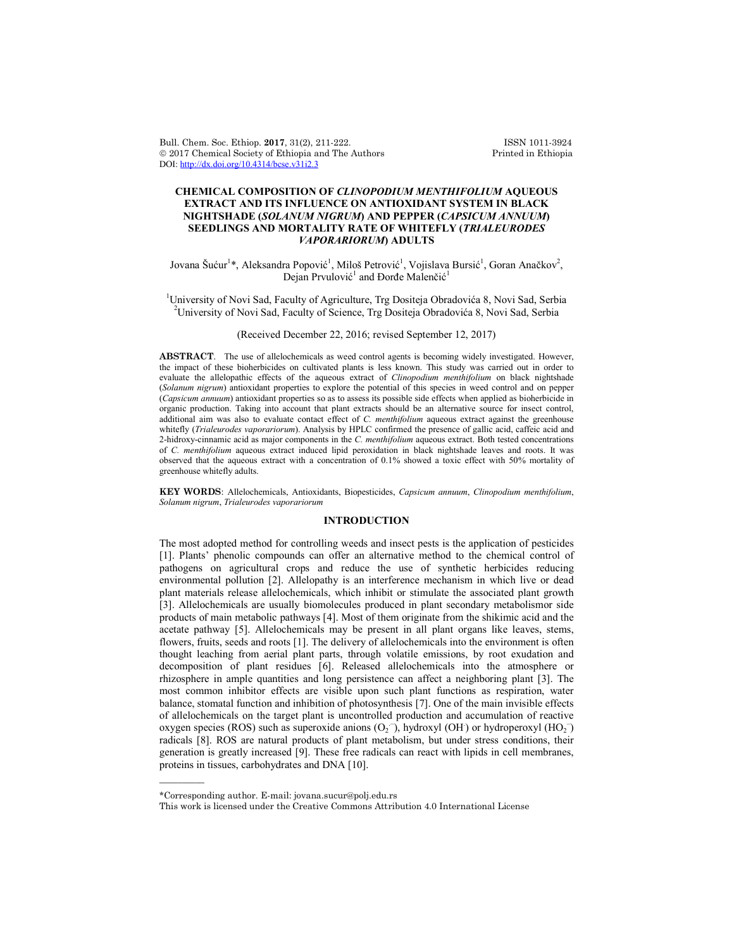Bull. Chem. Soc. Ethiop. **2017**, 31(2), 211-222. ISSN 1011-3924<br>
© 2017 Chemical Society of Ethiopia and The Authors Printed in Ethiopia  $© 2017 Chemical Society of Ethiopia and The Authors$ DOI: http://dx.doi.org/10.4314/bcse.v31i2.3

# **CHEMICAL COMPOSITION OF** *CLINOPODIUM MENTHIFOLIUM* **AQUEOUS EXTRACT AND ITS INFLUENCE ON ANTIOXIDANT SYSTEM IN BLACK NIGHTSHADE (***SOLANUM NIGRUM***) AND PEPPER (***CAPSICUM ANNUUM***) SEEDLINGS AND MORTALITY RATE OF WHITEFLY (***TRIALEURODES VAPORARIORUM***) ADULTS**

Jovana Šućur<sup>1</sup>\*, Aleksandra Popović<sup>1</sup>, Miloš Petrović<sup>1</sup>, Vojislava Bursić<sup>1</sup>, Goran Anačkov<sup>2</sup>, Dejan Prvulović<sup>1</sup> and Đorđe Malenčić<sup>1</sup>

<sup>1</sup>University of Novi Sad, Faculty of Agriculture, Trg Dositeja Obradovića 8, Novi Sad, Serbia <sup>2</sup>University of Novi Sad, Faculty of Science, Trg Dositeja Obradovića 8, Novi Sad, Serbia

(Received December 22, 2016; revised September 12, 2017)

**ABSTRACT**. The use of allelochemicals as weed control agents is becoming widely investigated. However, the impact of these bioherbicides on cultivated plants is less known. This study was carried out in order to evaluate the allelopathic effects of the aqueous extract of *Clinopodium menthifolium* on black nightshade (*Solanum nigrum*) antioxidant properties to explore the potential of this species in weed control and on pepper (*Capsicum annuum*) antioxidant properties so as to assess its possible side effects when applied as bioherbicide in organic production. Taking into account that plant extracts should be an alternative source for insect control, additional aim was also to evaluate contact effect of *C. menthifolium* aqueous extract against the greenhouse whitefly (*Trialeurodes vaporariorum*). Analysis by HPLC confirmed the presence of gallic acid, caffeic acid and 2-hidroxy-cinnamic acid as major components in the *C. menthifolium* aqueous extract. Both tested concentrations of *C. menthifolium* aqueous extract induced lipid peroxidation in black nightshade leaves and roots. It was observed that the aqueous extract with a concentration of 0.1% showed a toxic effect with 50% mortality of greenhouse whitefly adults.

**KEY WORDS**: Allelochemicals, Antioxidants, Biopesticides, *Capsicum annuum*, *Clinopodium menthifolium*, *Solanum nigrum*, *Trialeurodes vaporariorum*

# **INTRODUCTION**

The most adopted method for controlling weeds and insect pests is the application of pesticides [1]. Plants' phenolic compounds can offer an alternative method to the chemical control of pathogens on agricultural crops and reduce the use of synthetic herbicides reducing environmental pollution [2]. Allelopathy is an interference mechanism in which live or dead plant materials release allelochemicals, which inhibit or stimulate the associated plant growth [3]. Allelochemicals are usually biomolecules produced in plant secondary metabolismor side products of main metabolic pathways [4]. Most of them originate from the shikimic acid and the acetate pathway [5]. Allelochemicals may be present in all plant organs like leaves, stems, flowers, fruits, seeds and roots [1]. The delivery of allelochemicals into the environment is often thought leaching from aerial plant parts, through volatile emissions, by root exudation and decomposition of plant residues [6]. Released allelochemicals into the atmosphere or rhizosphere in ample quantities and long persistence can affect a neighboring plant [3]. The most common inhibitor effects are visible upon such plant functions as respiration, water balance, stomatal function and inhibition of photosynthesis [7]. One of the main invisible effects of allelochemicals on the target plant is uncontrolled production and accumulation of reactive oxygen species (ROS) such as superoxide anions  $(O_2^-)$ , hydroxyl (OH) or hydroperoxyl (HO<sub>2</sub>) radicals [8]. ROS are natural products of plant metabolism, but under stress conditions, their generation is greatly increased [9]. These free radicals can react with lipids in cell membranes, proteins in tissues, carbohydrates and DNA [10].

 $\overline{\phantom{a}}$ 

<sup>\*</sup>Corresponding author. E-mail: jovana.sucur@polj.edu.rs

This work is licensed under the Creative Commons Attribution 4.0 International License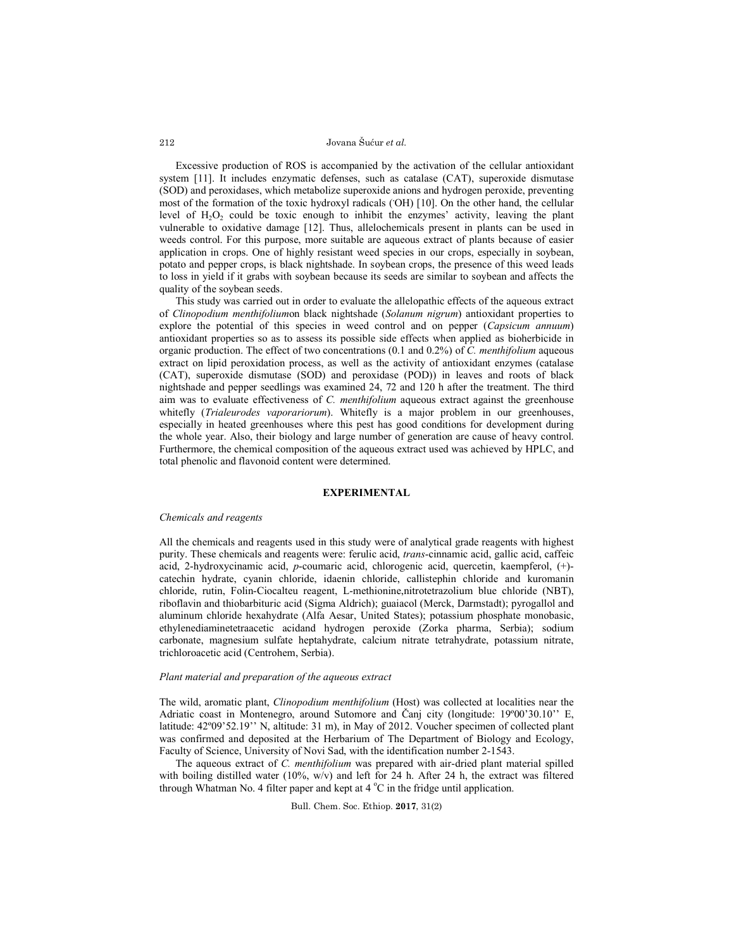Excessive production of ROS is accompanied by the activation of the cellular antioxidant system [11]. It includes enzymatic defenses, such as catalase (CAT), superoxide dismutase (SOD) and peroxidases, which metabolize superoxide anions and hydrogen peroxide, preventing most of the formation of the toxic hydroxyl radicals (OH) [10]. On the other hand, the cellular level of  $H_2O_2$  could be toxic enough to inhibit the enzymes' activity, leaving the plant vulnerable to oxidative damage [12]. Thus, allelochemicals present in plants can be used in weeds control. For this purpose, more suitable are aqueous extract of plants because of easier application in crops. One of highly resistant weed species in our crops, especially in soybean, potato and pepper crops, is black nightshade. In soybean crops, the presence of this weed leads to loss in yield if it grabs with soybean because its seeds are similar to soybean and affects the quality of the soybean seeds.

This study was carried out in order to evaluate the allelopathic effects of the aqueous extract of *Clinopodium menthifolium*on black nightshade (*Solanum nigrum*) antioxidant properties to explore the potential of this species in weed control and on pepper (*Capsicum annuum*) antioxidant properties so as to assess its possible side effects when applied as bioherbicide in organic production. The effect of two concentrations (0.1 and 0.2%) of *C. menthifolium* aqueous extract on lipid peroxidation process, as well as the activity of antioxidant enzymes (catalase (CAT), superoxide dismutase (SOD) and peroxidase (POD)) in leaves and roots of black nightshade and pepper seedlings was examined 24, 72 and 120 h after the treatment. The third aim was to evaluate effectiveness of *C. menthifolium* aqueous extract against the greenhouse whitefly (*Trialeurodes vaporariorum*). Whitefly is a major problem in our greenhouses, especially in heated greenhouses where this pest has good conditions for development during the whole year. Also, their biology and large number of generation are cause of heavy control. Furthermore, the chemical composition of the aqueous extract used was achieved by HPLC, and total phenolic and flavonoid content were determined.

## **EXPERIMENTAL**

#### *Chemicals and reagents*

All the chemicals and reagents used in this study were of analytical grade reagents with highest purity. These chemicals and reagents were: ferulic acid, *trans*-cinnamic acid, gallic acid, caffeic acid, 2-hydroxycinamic acid, *p*-coumaric acid, chlorogenic acid, quercetin, kaempferol, (+) catechin hydrate, cyanin chloride, idaenin chloride, callistephin chloride and kuromanin chloride, rutin, Folin-Ciocalteu reagent, L-methionine,nitrotetrazolium blue chloride (NBT), riboflavin and thiobarbituric acid (Sigma Aldrich); guaiacol (Merck, Darmstadt); pyrogallol and aluminum chloride hexahydrate (Alfa Aesar, United States); potassium phosphate monobasic, ethylenediaminetetraacetic acidand hydrogen peroxide (Zorka pharma, Serbia); sodium carbonate, magnesium sulfate heptahydrate, calcium nitrate tetrahydrate, potassium nitrate, trichloroacetic acid (Centrohem, Serbia).

### *Plant material and preparation of the aqueous extract*

The wild, aromatic plant, *Clinopodium menthifolium* (Host) was collected at localities near the Adriatic coast in Montenegro, around Sutomore and Čanj city (longitude: 19º00'30.10'' E, latitude: 42º09'52.19'' N, altitude: 31 m), in May of 2012. Voucher specimen of collected plant was confirmed and deposited at the Herbarium of The Department of Biology and Ecology, Faculty of Science, University of Novi Sad, with the identification number 2-1543.

The aqueous extract of *C. menthifolium* was prepared with air-dried plant material spilled with boiling distilled water (10%,  $w/v$ ) and left for 24 h. After 24 h, the extract was filtered through Whatman No. 4 filter paper and kept at  $4^{\circ}$ C in the fridge until application.

Bull. Chem. Soc. Ethiop. **2017**, 31(2)

212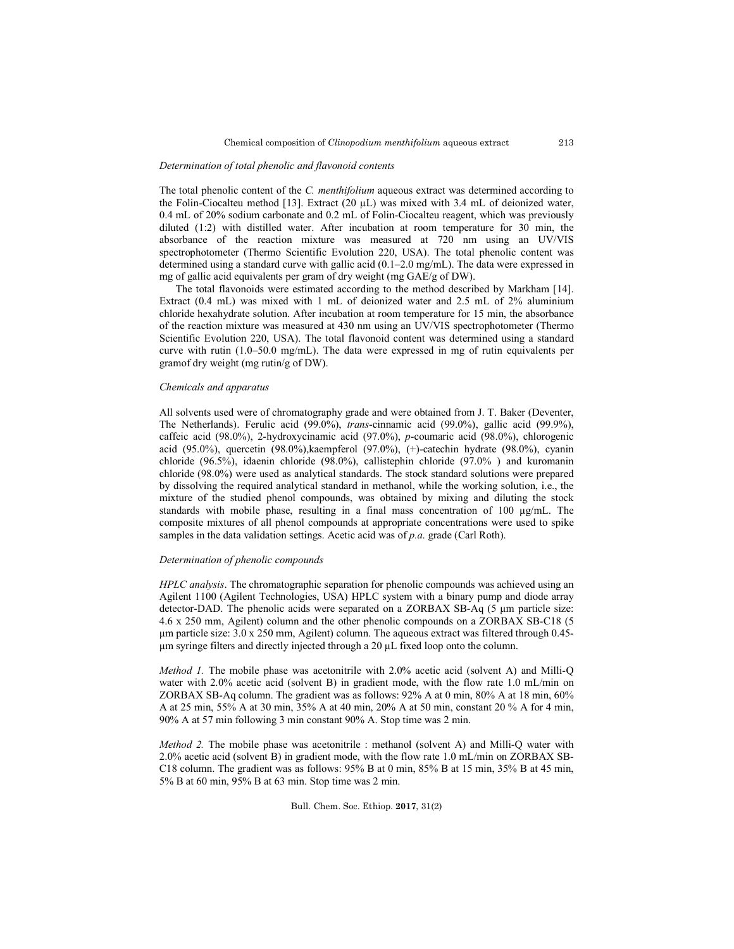### *Determination of total phenolic and flavonoid contents*

The total phenolic content of the *C. menthifolium* aqueous extract was determined according to the Folin-Ciocalteu method [13]. Extract  $(20 \mu L)$  was mixed with 3.4 mL of deionized water, 0.4 mL of 20% sodium carbonate and 0.2 mL of Folin-Ciocalteu reagent, which was previously diluted (1:2) with distilled water. After incubation at room temperature for 30 min, the absorbance of the reaction mixture was measured at 720 nm using an UV/VIS spectrophotometer (Thermo Scientific Evolution 220, USA). The total phenolic content was determined using a standard curve with gallic acid (0.1–2.0 mg/mL). The data were expressed in mg of gallic acid equivalents per gram of dry weight (mg GAE/g of DW).

The total flavonoids were estimated according to the method described by Markham [14]. Extract (0.4 mL) was mixed with 1 mL of deionized water and 2.5 mL of 2% aluminium chloride hexahydrate solution. After incubation at room temperature for 15 min, the absorbance of the reaction mixture was measured at 430 nm using an UV/VIS spectrophotometer (Thermo Scientific Evolution 220, USA). The total flavonoid content was determined using a standard curve with rutin (1.0–50.0 mg/mL). The data were expressed in mg of rutin equivalents per gramof dry weight (mg rutin/g of DW).

# *Chemicals and apparatus*

All solvents used were of chromatography grade and were obtained from J. T. Baker (Deventer, The Netherlands). Ferulic acid (99.0%), *trans*-cinnamic acid (99.0%), gallic acid (99.9%), caffeic acid (98.0%), 2-hydroxycinamic acid (97.0%), *p*-coumaric acid (98.0%), chlorogenic acid (95.0%), quercetin (98.0%),kaempferol (97.0%), (+)-catechin hydrate (98.0%), cyanin chloride (96.5%), idaenin chloride (98.0%), callistephin chloride (97.0% ) and kuromanin chloride (98.0%) were used as analytical standards. The stock standard solutions were prepared by dissolving the required analytical standard in methanol, while the working solution, i.e., the mixture of the studied phenol compounds, was obtained by mixing and diluting the stock standards with mobile phase, resulting in a final mass concentration of 100  $\mu$ g/mL. The composite mixtures of all phenol compounds at appropriate concentrations were used to spike samples in the data validation settings. Acetic acid was of *p.a*. grade (Carl Roth).

## *Determination of phenolic compounds*

*HPLC analysis*. The chromatographic separation for phenolic compounds was achieved using an Agilent 1100 (Agilent Technologies, USA) HPLC system with a binary pump and diode array detector-DAD. The phenolic acids were separated on a ZORBAX SB-Aq (5 μm particle size: 4.6 x 250 mm, Agilent) column and the other phenolic compounds on a ZORBAX SB-C18 (5 μm particle size: 3.0 x 250 mm, Agilent) column. The aqueous extract was filtered through 0.45 μm syringe filters and directly injected through a 20 μL fixed loop onto the column.

*Method 1.* The mobile phase was acetonitrile with 2.0% acetic acid (solvent A) and Milli-Q water with 2.0% acetic acid (solvent B) in gradient mode, with the flow rate 1.0 mL/min on ZORBAX SB-Aq column. The gradient was as follows: 92% A at 0 min, 80% A at 18 min, 60% A at 25 min, 55% A at 30 min, 35% A at 40 min, 20% A at 50 min, constant 20 % A for 4 min, 90% A at 57 min following 3 min constant 90% A. Stop time was 2 min.

*Method 2.* The mobile phase was acetonitrile : methanol (solvent A) and Milli-Q water with 2.0% acetic acid (solvent B) in gradient mode, with the flow rate 1.0 mL/min on ZORBAX SB-C18 column. The gradient was as follows: 95% B at 0 min, 85% B at 15 min, 35% B at 45 min, 5% B at 60 min, 95% B at 63 min. Stop time was 2 min.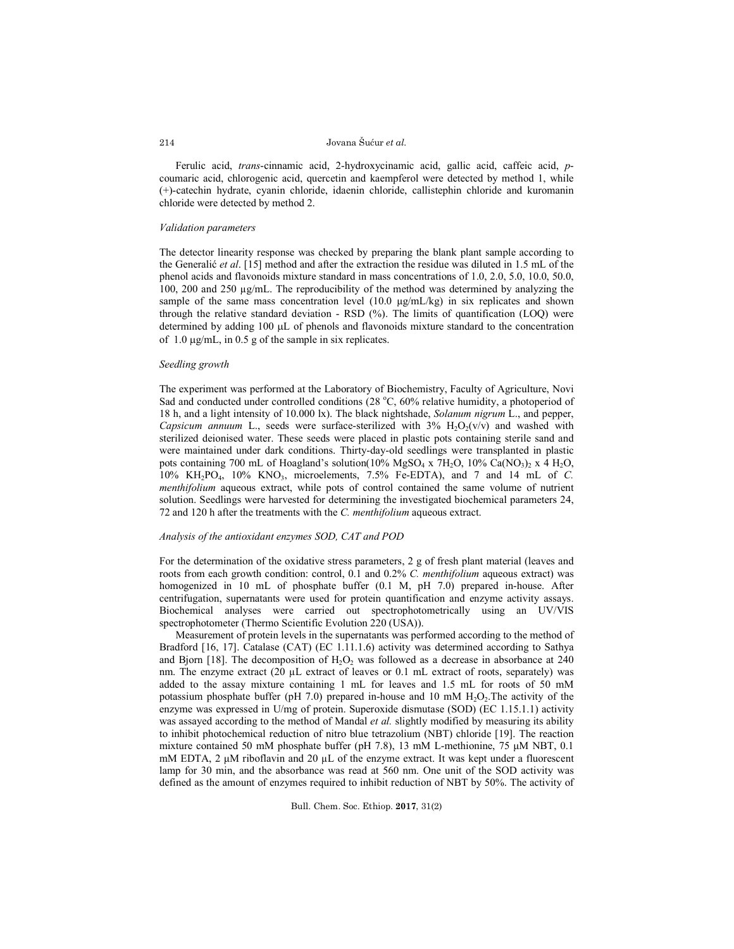Ferulic acid, *trans*-cinnamic acid, 2-hydroxycinamic acid, gallic acid, caffeic acid, *p*coumaric acid, chlorogenic acid, quercetin and kaempferol were detected by method 1, while (+)-catechin hydrate, cyanin chloride, idaenin chloride, callistephin chloride and kuromanin chloride were detected by method 2.

### *Validation parameters*

The detector linearity response was checked by preparing the blank plant sample according to the Generalić *et al*. [15] method and after the extraction the residue was diluted in 1.5 mL of the phenol acids and flavonoids mixture standard in mass concentrations of 1.0, 2.0, 5.0, 10.0, 50.0, 100, 200 and 250 µg/mL. The reproducibility of the method was determined by analyzing the sample of the same mass concentration level (10.0 μg/mL/kg) in six replicates and shown through the relative standard deviation - RSD  $(\%)$ . The limits of quantification (LOQ) were determined by adding 100 µL of phenols and flavonoids mixture standard to the concentration of  $1.0 \mu$ g/mL, in 0.5 g of the sample in six replicates.

#### *Seedling growth*

The experiment was performed at the Laboratory of Biochemistry, Faculty of Agriculture, Novi Sad and conducted under controlled conditions (28 °C, 60% relative humidity, a photoperiod of 18 h, and a light intensity of 10.000 lx). The black nightshade, *Solanum nigrum* L., and pepper, *Capsicum annuum* L., seeds were surface-sterilized with  $3\%$  H<sub>2</sub>O<sub>2</sub>(v/v) and washed with sterilized deionised water. These seeds were placed in plastic pots containing sterile sand and were maintained under dark conditions. Thirty-day-old seedlings were transplanted in plastic pots containing 700 mL of Hoagland's solution(10% MgSO<sub>4</sub> x 7H<sub>2</sub>O, 10% Ca(NO<sub>3</sub>)<sub>2</sub> x 4 H<sub>2</sub>O, 10% KH2PO4, 10% KNO3, microelements, 7.5% Fe-EDTA), and 7 and 14 mL of *C. menthifolium* aqueous extract, while pots of control contained the same volume of nutrient solution. Seedlings were harvested for determining the investigated biochemical parameters 24, 72 and 120 h after the treatments with the *C. menthifolium* aqueous extract.

### *Analysis of the antioxidant enzymes SOD, CAT and POD*

For the determination of the oxidative stress parameters, 2 g of fresh plant material (leaves and roots from each growth condition: control, 0.1 and 0.2% *C. menthifolium* aqueous extract) was homogenized in 10 mL of phosphate buffer (0.1 M, pH 7.0) prepared in-house. After centrifugation, supernatants were used for protein quantification and enzyme activity assays. Biochemical analyses were carried out spectrophotometrically using an UV/VIS spectrophotometer (Thermo Scientific Evolution 220 (USA)).

Measurement of protein levels in the supernatants was performed according to the method of Bradford [16, 17]. Catalase (CAT) (EC 1.11.1.6) activity was determined according to Sathya and Bjorn [18]. The decomposition of  $H_2O_2$  was followed as a decrease in absorbance at 240 nm. The enzyme extract (20 µL extract of leaves or 0.1 mL extract of roots, separately) was added to the assay mixture containing 1 mL for leaves and 1.5 mL for roots of 50 mM potassium phosphate buffer (pH 7.0) prepared in-house and 10 mM  $H<sub>2</sub>O<sub>2</sub>$ . The activity of the enzyme was expressed in U/mg of protein. Superoxide dismutase (SOD) (EC 1.15.1.1) activity was assayed according to the method of Mandal *et al.* slightly modified by measuring its ability to inhibit photochemical reduction of nitro blue tetrazolium (NBT) chloride [19]. The reaction mixture contained 50 mM phosphate buffer (pH 7.8), 13 mM L-methionine, 75 μM NBT, 0.1 mM EDTA, 2 μM riboflavin and 20 μL of the enzyme extract. It was kept under a fluorescent lamp for 30 min, and the absorbance was read at 560 nm. One unit of the SOD activity was defined as the amount of enzymes required to inhibit reduction of NBT by 50%. The activity of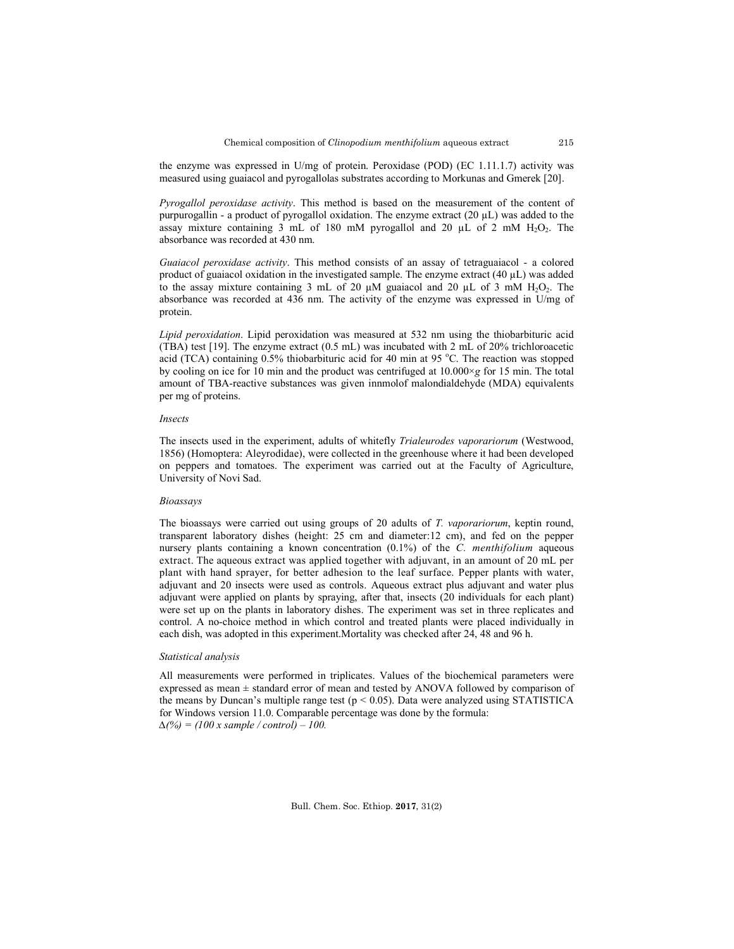the enzyme was expressed in U/mg of protein. Peroxidase (POD) (EC  $1.11.1.7$ ) activity was measured using guaiacol and pyrogallolas substrates according to Morkunas and Gmerek [20].

*Pyrogallol peroxidase activity*. This method is based on the measurement of the content of purpurogallin - a product of pyrogallol oxidation. The enzyme extract (20 µL) was added to the assay mixture containing 3 mL of 180 mM pyrogallol and 20  $\mu$ L of 2 mM H<sub>2</sub>O<sub>2</sub>. The absorbance was recorded at 430 nm.

*Guaiacol peroxidase activity*. This method consists of an assay of tetraguaiacol - a colored product of guaiacol oxidation in the investigated sample. The enzyme extract  $(40 \mu L)$  was added to the assay mixture containing 3 mL of 20  $\mu$ M guaiacol and 20  $\mu$ L of 3 mM H<sub>2</sub>O<sub>2</sub>. The absorbance was recorded at 436 nm. The activity of the enzyme was expressed in U/mg of protein.

*Lipid peroxidation*. Lipid peroxidation was measured at 532 nm using the thiobarbituric acid (TBA) test [19]. The enzyme extract (0.5 mL) was incubated with 2 mL of 20% trichloroacetic acid (TCA) containing  $0.5\%$  thiobarbituric acid for 40 min at 95 °C. The reaction was stopped by cooling on ice for 10 min and the product was centrifuged at 10.000×*g* for 15 min. The total amount of TBA-reactive substances was given innmolof malondialdehyde (MDA) equivalents per mg of proteins.

### *Insects*

The insects used in the experiment, adults of whitefly *Trialeurodes vaporariorum* (Westwood, 1856) (Homoptera: Aleyrodidae), were collected in the greenhouse where it had been developed on peppers and tomatoes. The experiment was carried out at the Faculty of Agriculture, University of Novi Sad.

# *Bioassays*

The bioassays were carried out using groups of 20 adults of *T. vaporariorum*, keptin round, transparent laboratory dishes (height: 25 cm and diameter:12 cm), and fed on the pepper nursery plants containing a known concentration (0.1%) of the *C. menthifolium* aqueous extract. The aqueous extract was applied together with adjuvant, in an amount of 20 mL per plant with hand sprayer, for better adhesion to the leaf surface. Pepper plants with water, adjuvant and 20 insects were used as controls. Aqueous extract plus adjuvant and water plus adjuvant were applied on plants by spraying, after that, insects (20 individuals for each plant) were set up on the plants in laboratory dishes. The experiment was set in three replicates and control. A no-choice method in which control and treated plants were placed individually in each dish, was adopted in this experiment.Mortality was checked after 24, 48 and 96 h.

#### *Statistical analysis*

All measurements were performed in triplicates. Values of the biochemical parameters were expressed as mean ± standard error of mean and tested by ANOVA followed by comparison of the means by Duncan's multiple range test ( $p < 0.05$ ). Data were analyzed using STATISTICA for Windows version 11.0. Comparable percentage was done by the formula: *∆(%) = (100 x sample / control) – 100.*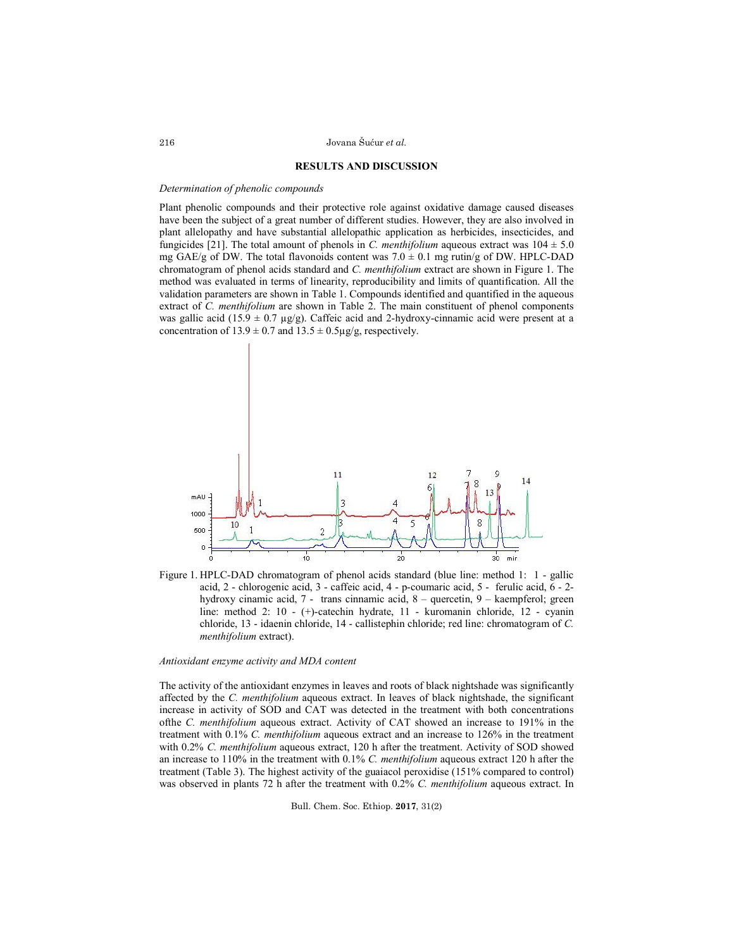### **RESULTS AND DISCUSSION**

#### *Determination of phenolic compounds*

Plant phenolic compounds and their protective role against oxidative damage caused diseases have been the subject of a great number of different studies. However, they are also involved in plant allelopathy and have substantial allelopathic application as herbicides, insecticides, and fungicides [21]. The total amount of phenols in *C. menthifolium* aqueous extract was  $104 \pm 5.0$ mg GAE/g of DW. The total flavonoids content was  $7.0 \pm 0.1$  mg rutin/g of DW. HPLC-DAD chromatogram of phenol acids standard and *C. menthifolium* extract are shown in Figure 1. The method was evaluated in terms of linearity, reproducibility and limits of quantification. All the validation parameters are shown in Table 1. Compounds identified and quantified in the aqueous extract of *C. menthifolium* are shown in Table 2. The main constituent of phenol components was gallic acid (15.9  $\pm$  0.7  $\mu$ g/g). Caffeic acid and 2-hydroxy-cinnamic acid were present at a concentration of  $13.9 \pm 0.7$  and  $13.5 \pm 0.5$ µg/g, respectively.



Figure 1. HPLC-DAD chromatogram of phenol acids standard (blue line: method 1: 1 - gallic acid, 2 - chlorogenic acid, 3 - caffeic acid, 4 - p-coumaric acid, 5 - ferulic acid, 6 - 2 hydroxy cinamic acid, 7 - trans cinnamic acid, 8 – quercetin, 9 – kaempferol; green line: method 2: 10 - (+)-catechin hydrate, 11 - kuromanin chloride, 12 - cyanin chloride, 13 - idaenin chloride, 14 - callistephin chloride; red line: chromatogram of *C. menthifolium* extract).

### *Antioxidant enzyme activity and MDA content*

The activity of the antioxidant enzymes in leaves and roots of black nightshade was significantly affected by the *C. menthifolium* aqueous extract. In leaves of black nightshade, the significant increase in activity of SOD and CAT was detected in the treatment with both concentrations ofthe *C. menthifolium* aqueous extract. Activity of CAT showed an increase to 191% in the treatment with 0.1% *C. menthifolium* aqueous extract and an increase to 126% in the treatment with 0.2% *C. menthifolium* aqueous extract, 120 h after the treatment. Activity of SOD showed an increase to 110% in the treatment with 0.1% *C. menthifolium* aqueous extract 120 h after the treatment (Table 3). The highest activity of the guaiacol peroxidise (151% compared to control) was observed in plants 72 h after the treatment with 0.2% *C. menthifolium* aqueous extract. In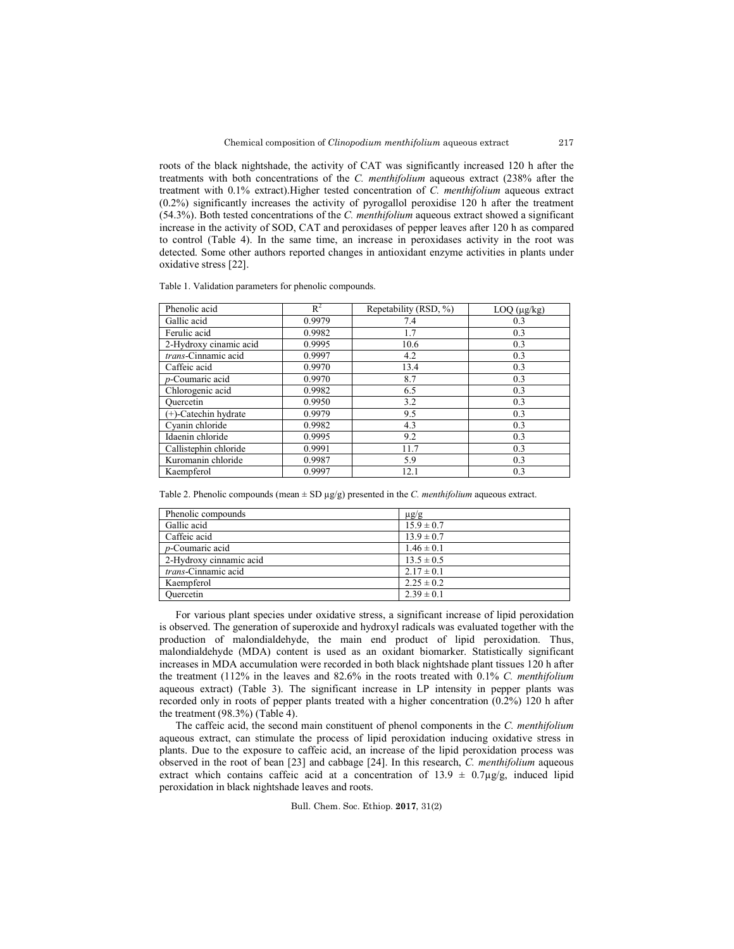roots of the black nightshade, the activity of CAT was significantly increased 120 h after the treatments with both concentrations of the *C. menthifolium* aqueous extract (238% after the treatment with 0.1% extract).Higher tested concentration of *C. menthifolium* aqueous extract (0.2%) significantly increases the activity of pyrogallol peroxidise 120 h after the treatment (54.3%). Both tested concentrations of the *C. menthifolium* aqueous extract showed a significant increase in the activity of SOD, CAT and peroxidases of pepper leaves after 120 h as compared to control (Table 4). In the same time, an increase in peroxidases activity in the root was detected. Some other authors reported changes in antioxidant enzyme activities in plants under oxidative stress [22].

|  |  | Table 1. Validation parameters for phenolic compounds. |
|--|--|--------------------------------------------------------|
|  |  |                                                        |

| Phenolic acid           | $R^2$  | Repetability (RSD, %) | $LOQ$ ( $\mu$ g/kg) |
|-------------------------|--------|-----------------------|---------------------|
| Gallic acid             | 0.9979 | 7.4                   | 0.3                 |
| Ferulic acid            | 0.9982 | 1.7                   | 0.3                 |
| 2-Hydroxy cinamic acid  | 0.9995 | 10.6                  | 0.3                 |
| trans-Cinnamic acid     | 0.9997 | 4.2                   | 0.3                 |
| Caffeic acid            | 0.9970 | 13.4                  | 0.3                 |
| $p$ -Coumaric acid      | 0.9970 | 8.7                   | 0.3                 |
| Chlorogenic acid        | 0.9982 | 6.5                   | 0.3                 |
| Ouercetin               | 0.9950 | 3.2                   | 0.3                 |
| $(+)$ -Catechin hydrate | 0.9979 | 9.5                   | 0.3                 |
| Cyanin chloride         | 0.9982 | 4.3                   | 0.3                 |
| Idaenin chloride        | 0.9995 | 9.2                   | 0.3                 |
| Callistephin chloride   | 0.9991 | 11.7                  | 0.3                 |
| Kuromanin chloride      | 0.9987 | 5.9                   | 0.3                 |
| Kaempferol              | 0.9997 | 12.1                  | 0.3                 |

Table 2. Phenolic compounds (mean  $\pm$  SD  $\mu$ g/g) presented in the *C. menthifolium* aqueous extract.

| Phenolic compounds          | $\mu$ g/g      |
|-----------------------------|----------------|
| Gallic acid                 | $15.9 \pm 0.7$ |
| Caffeic acid                | $13.9 \pm 0.7$ |
| $p$ -Coumaric acid          | $1.46 \pm 0.1$ |
| 2-Hydroxy cinnamic acid     | $13.5 \pm 0.5$ |
| <i>trans</i> -Cinnamic acid | $2.17 \pm 0.1$ |
| Kaempferol                  | $2.25 \pm 0.2$ |
| Ouercetin                   | $2.39 \pm 0.1$ |

For various plant species under oxidative stress, a significant increase of lipid peroxidation is observed. The generation of superoxide and hydroxyl radicals was evaluated together with the production of malondialdehyde, the main end product of lipid peroxidation. Thus, malondialdehyde (MDA) content is used as an oxidant biomarker. Statistically significant increases in MDA accumulation were recorded in both black nightshade plant tissues 120 h after the treatment (112% in the leaves and 82.6% in the roots treated with 0.1% *C. menthifolium* aqueous extract) (Table 3). The significant increase in LP intensity in pepper plants was recorded only in roots of pepper plants treated with a higher concentration (0.2%) 120 h after the treatment (98.3%) (Table 4).

The caffeic acid, the second main constituent of phenol components in the *C. menthifolium* aqueous extract, can stimulate the process of lipid peroxidation inducing oxidative stress in plants. Due to the exposure to caffeic acid, an increase of the lipid peroxidation process was observed in the root of bean [23] and cabbage [24]. In this research, *C. menthifolium* aqueous extract which contains caffeic acid at a concentration of  $13.9 \pm 0.7 \mu g/g$ , induced lipid peroxidation in black nightshade leaves and roots.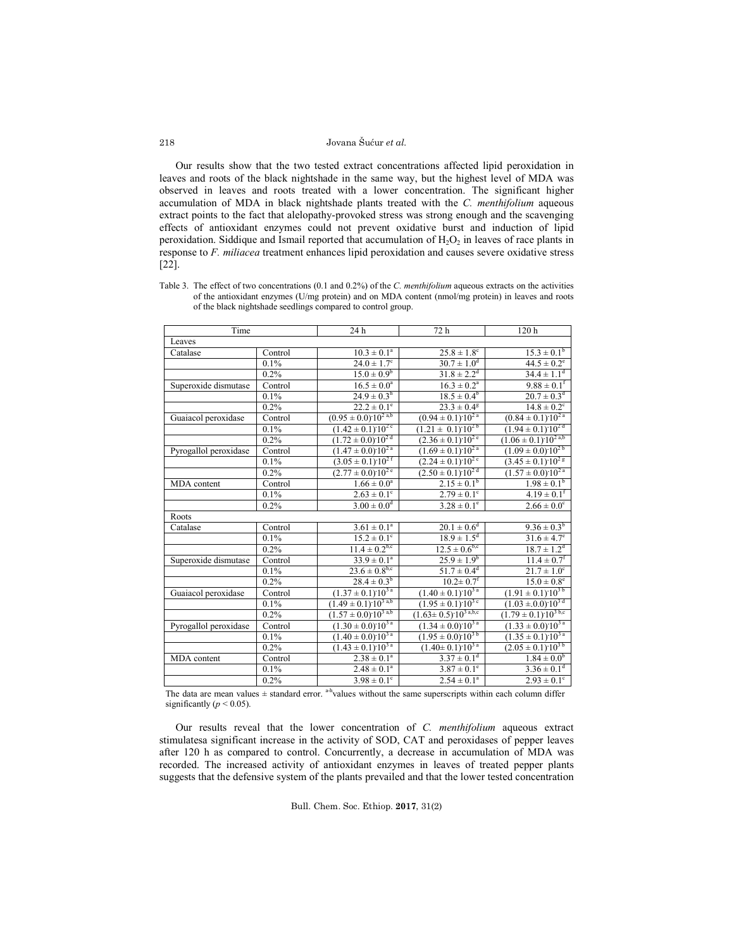Our results show that the two tested extract concentrations affected lipid peroxidation in leaves and roots of the black nightshade in the same way, but the highest level of MDA was observed in leaves and roots treated with a lower concentration. The significant higher accumulation of MDA in black nightshade plants treated with the *C. menthifolium* aqueous extract points to the fact that alelopathy-provoked stress was strong enough and the scavenging effects of antioxidant enzymes could not prevent oxidative burst and induction of lipid peroxidation. Siddique and Ismail reported that accumulation of  $H_2O_2$  in leaves of race plants in response to *F. miliacea* treatment enhances lipid peroxidation and causes severe oxidative stress [22].

Table 3. The effect of two concentrations (0.1 and 0.2%) of the *C. menthifolium* aqueous extracts on the activities of the antioxidant enzymes (U/mg protein) and on MDA content (nmol/mg protein) in leaves and roots of the black nightshade seedlings compared to control group.

| Time                  |         | 24 h                                 | 72 h                               | 120 <sub>h</sub>                         |
|-----------------------|---------|--------------------------------------|------------------------------------|------------------------------------------|
| Leaves                |         |                                      |                                    |                                          |
| Catalase              | Control | $10.3 \pm 0.1^a$                     | $25.8 \pm 1.8$ <sup>c</sup>        | $15.3 \pm 0.1^b$                         |
|                       | 0.1%    | $24.0 \pm 1.7$ <sup>c</sup>          | $30.7 \pm 1.0^d$                   | $44.5 \pm 0.2^e$                         |
|                       | 0.2%    | $15.0 \pm 0.9^b$                     | $31.8 \pm 2.2$ <sup>d</sup>        | $34.4 \pm 1.1$ <sup>d</sup>              |
| Superoxide dismutase  | Control | $16.5 \pm 0.0^a$                     | $16.3 \pm 0.2^a$                   | $9.88 \pm 0.1^{\rm f}$                   |
|                       | 0.1%    | $24.9 \pm 0.3^h$                     | $18.5 \pm 0.4^b$                   | $20.7 \pm 0.3^d$                         |
|                       | 0.2%    | $22.2 \pm 0.1^e$                     | $23.3 \pm 0.4$ <sup>g</sup>        | $14.8 \pm 0.2$ <sup>c</sup>              |
| Guaiacol peroxidase   | Control | $(0.95 \pm 0.0)^{10^{2 a,b}}$        | $(0.94 \pm 0.1)^{10^{2} a}$        | $(0.84 \pm 0.1)^{10^{2} a}$              |
|                       | 0.1%    | $(1.42 \pm 0.1) 10^{2}$ <sup>c</sup> | $(1.21 \pm 0.1)^{0.10^{2b}}$       | $(1.94 \pm 0.1)^{10^{2d}}$               |
|                       | 0.2%    | $(1.72 \pm 0.0) 10^{2 d}$            | $(2.36 \pm 0.1)$ 10 <sup>2 e</sup> | $(1.06 \pm 0.1)^{10^{2 a,b}}$            |
| Pyrogallol peroxidase | Control | $(1.47 \pm 0.0) 10^{2 a}$            | $(1.69 \pm 0.1)^{10^{2} a}$        | $(1.09 \pm 0.0)^{10^{2b}}$               |
|                       | 0.1%    | $(3.05 \pm 0.1) 10^{27}$             | $(2.24 \pm 0.1)^{10^{2 c}}$        | $(3.45 \pm 0.1) 10^{2}$ g                |
|                       | 0.2%    | $(2.77 \pm 0.0)^{10^{2} e}$          | $(2.50 \pm 0.1)^{10^{2d}}$         | $(1.57 \pm 0.0)^{10^{2a}}$               |
| MDA content           | Control | $1.66\pm0.0^{\rm a}$                 | $2.15 \pm 0.1^b$                   | $1.98 \pm 0.1^b$                         |
|                       | 0.1%    | $2.63 \pm 0.1^c$                     | $2.79 \pm 0.1^{\circ}$             | $4.19 \pm 0.1^f$                         |
|                       | 0.2%    | $3.00 \pm 0.0^d$                     | $3.28 \pm 0.1^e$                   | $2.66 \pm 0.0^c$                         |
| Roots                 |         |                                      |                                    |                                          |
| Catalase              | Control | $3.61 \pm 0.1^a$                     | $20.1 \pm 0.6^d$                   | $9.36 \pm 0.3^b$                         |
|                       | 0.1%    | $15.2 \pm 0.1^{\circ}$               | $18.9 \pm 1.5^d$                   | $31.6 \pm 4.7^e$                         |
|                       | 0.2%    | $11.4 \pm 0.2^{b,c}$                 | $12.5 \pm 0.6^{b,c}$               | $18.7 \pm 1.2$ <sup>d</sup>              |
| Superoxide dismutase  | Control | $33.9 \pm 0.1^a$                     | $25.9 \pm 1.9^b$                   | $11.4 \pm 0.7$ <sup>f</sup>              |
|                       | 0.1%    | $23.6 \pm 0.8^{b,c}$                 | $51.7 \pm 0.4^d$                   | $21.7 \pm 1.0^c$                         |
|                       | 0.2%    | $28.4 \pm 0.3^b$                     | $10.2 \pm 0.7$ <sup>f</sup>        | $15.0 \pm 0.8^e$                         |
| Guaiacol peroxidase   | Control | $(1.37 \pm 0.1) 10^{3 a}$            | $(1.40 \pm 0.1)^{10^{3} a}$        | $(1.91 \pm 0.1)^{10^{3b}}$               |
|                       | 0.1%    | $(1.49 \pm 0.1)^{10^{3} a,b}$        | $(1.95 \pm 0.1)10^{3}$             | $(1.03 \pm 0.0)$ 10 <sup>3 d</sup>       |
|                       | 0.2%    | $(1.57 \pm 0.0)^{10^{3 a,b}}$        | $(1.63 \pm 0.5)^{10^{3} a,b,c}$    | $(1.79 \pm 0.1)^{10^{3}}$ <sub>b,c</sub> |
| Pyrogallol peroxidase | Control | $(1.30 \pm 0.0)$ 10 <sup>3 a</sup>   | $(1.34 \pm 0.0)^{10^{3 a}}$        | $(1.33 \pm 0.0)\overline{10^{3a}}$       |
|                       | 0.1%    | $(1.40 \pm 0.0)^{10^{3} a}$          | $(1.95 \pm 0.0) 10^{3 b}$          | $(1.35 \pm 0.1)^{10^{3a}}$               |
|                       | 0.2%    | $(1.43 \pm 0.1)$ 10 <sup>3 a</sup>   | $(1.40 \pm 0.1)^{10^{3 a}}$        | $(2.05 \pm 0.1)$ 10 <sup>3b</sup>        |
| MDA content           | Control | $2.38 \pm 0.1^a$                     | $3.37 \pm 0.1$ <sup>d</sup>        | $1.84 \pm 0.0^b$                         |
|                       | 0.1%    | $2.48 \pm 0.1^a$                     | $3.87 \pm 0.1^e$                   | $3.36 \pm 0.1^d$                         |
|                       | 0.2%    | $3.98 \pm 0.1^c$                     | $2.54 \pm 0.1^a$                   | $2.93 \pm 0.1^c$                         |

The data are mean values  $\pm$  standard error. <sup>a-h</sup> values without the same superscripts within each column differ significantly  $(p < 0.05)$ .

Our results reveal that the lower concentration of *C. menthifolium* aqueous extract stimulatesa significant increase in the activity of SOD, CAT and peroxidases of pepper leaves after 120 h as compared to control. Concurrently, a decrease in accumulation of MDA was recorded. The increased activity of antioxidant enzymes in leaves of treated pepper plants suggests that the defensive system of the plants prevailed and that the lower tested concentration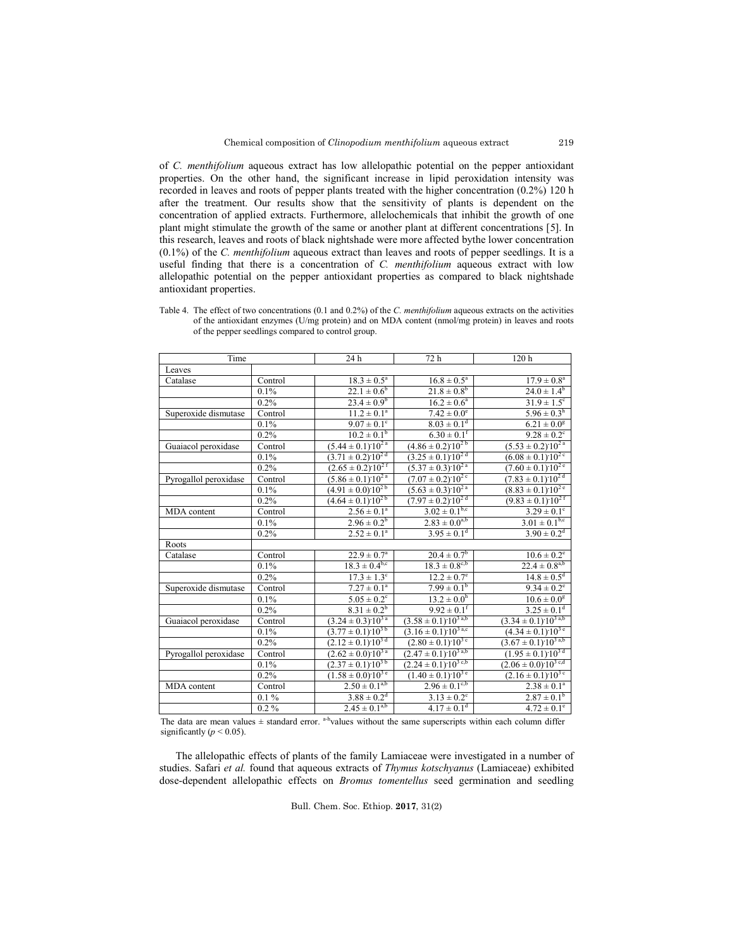of *C. menthifolium* aqueous extract has low allelopathic potential on the pepper antioxidant properties. On the other hand, the significant increase in lipid peroxidation intensity was recorded in leaves and roots of pepper plants treated with the higher concentration (0.2%) 120 h after the treatment. Our results show that the sensitivity of plants is dependent on the concentration of applied extracts. Furthermore, allelochemicals that inhibit the growth of one plant might stimulate the growth of the same or another plant at different concentrations [5]. In this research, leaves and roots of black nightshade were more affected bythe lower concentration (0.1%) of the *C. menthifolium* aqueous extract than leaves and roots of pepper seedlings. It is a useful finding that there is a concentration of *C. menthifolium* aqueous extract with low allelopathic potential on the pepper antioxidant properties as compared to black nightshade antioxidant properties.

| Table 4. The effect of two concentrations (0.1 and 0.2%) of the C. menthifolium aqueous extracts on the activities |
|--------------------------------------------------------------------------------------------------------------------|
| of the antioxidant enzymes $(U/mg$ protein) and on MDA content (nmol/mg protein) in leaves and roots               |
| of the pepper seedlings compared to control group.                                                                 |

| Time                  |         | 24 h                                 | 72 h                                   | 120h                                    |
|-----------------------|---------|--------------------------------------|----------------------------------------|-----------------------------------------|
| Leaves                |         |                                      |                                        |                                         |
| Catalase              | Control | $18.3 \pm 0.5^a$                     | $16.8 \pm 0.5^a$                       | $17.9 \pm 0.8^a$                        |
|                       | 0.1%    | $22.1 \pm 0.6^b$                     | $21.8 \pm 0.8^b$                       | $24.0 \pm 1.4^b$                        |
|                       | 0.2%    | $23.4 \pm 0.9^b$                     | $16.2 \pm 0.6^a$                       | $31.9 \pm 1.5^c$                        |
| Superoxide dismutase  | Control | $11.2 \pm 0.1^a$                     | $7.42 \pm 0.0^e$                       | $5.96 \pm 0.3^h$                        |
|                       | 0.1%    | $9.07 \pm 0.1^c$                     | $8.03 \pm 0.1$ <sup>d</sup>            | $6.21 \pm 0.0^g$                        |
|                       | 0.2%    | $10.2 \pm 0.1^b$                     | $6.30 \pm 0.1$ <sup>f</sup>            | $9.28 \pm 0.2$ <sup>c</sup>             |
| Guaiacol peroxidase   | Control | $(5.44 \pm 0.1)$ 10 <sup>2a</sup>    | $\sqrt{(4.86\pm0.2)^{10^{2}b}}$        | $(5.53 \pm 0.2)$ 10 <sup>2a</sup>       |
|                       | 0.1%    | $(3.71 \pm 0.2) 10^{2d}$             | $(3.25 \pm 0.1)$ 10 <sup>2 d</sup>     | $(6.08 \pm 0.1)10^{2c}$                 |
|                       | 0.2%    | $(2.65 \pm 0.2) 10^{2}$ <sup>f</sup> | $(5.37 \pm 0.3) 10^{2 a}$              | $(7.60 \pm 0.1)^{10^{2} e}$             |
| Pyrogallol peroxidase | Control | $(5.86 \pm 0.1)$ 10 <sup>2a</sup>    | $(7.07 \pm 0.2) 10^{2}$                | $(7.83 \pm 0.1)$ 10 <sup>2 d</sup>      |
|                       | 0.1%    | $(4.91 \pm 0.0)\cdot 10^{2b}$        | $(5.63 \pm 0.3)^{10^{2} a}$            | $(8.83 \pm 0.1) 10^{2}$ <sup>e</sup>    |
|                       | 0.2%    | $\sqrt{(4.64 \pm 0.1)^{10^{2b}}}$    | $(7.97 \pm 0.2)^{10^{2 d}}$            | $(9.83 \pm 0.1) 10^{27}$                |
| MDA content           | Control | $2.56 \pm 0.1^a$                     | $3.02 \pm 0.1^{b,c}$                   | $3.29 \pm 0.1^{\circ}$                  |
|                       | 0.1%    | $2.96 \pm 0.2^b$                     | $2.83 \pm 0.0^{a,b}$                   | $3.01 \pm 0.1^{b,c}$                    |
|                       | 0.2%    | $2.52 \pm 0.1^a$                     | $3.95 \pm 0.1^d$                       | $3.90 \pm 0.2^d$                        |
| Roots                 |         |                                      |                                        |                                         |
| Catalase              | Control | $22.9 \pm 0.7^a$                     | $20.4 \pm 0.7^b$                       | $10.6 \pm 0.2^e$                        |
|                       | 0.1%    | $18.3 \pm 0.4^{b,c}$                 | $18.3 \pm 0.8^{c,b}$                   | $22.4 \pm 0.8^{a,b}$                    |
|                       | 0.2%    | $17.3 \pm 1.3$ <sup>c</sup>          | $12.2 \pm 0.7$ <sup>e</sup>            | $14.8 \pm 0.5$ <sup>d</sup>             |
| Superoxide dismutase  | Control | $7.27 \pm 0.1^a$                     | $7.99 \pm 0.1^b$                       | $9.34 \pm 0.2^e$                        |
|                       | 0.1%    | $5.05 \pm 0.2^c$                     | $13.2 \pm 0.0^h$                       | $10.6 \pm 0.0^8$                        |
|                       | 0.2%    | $8.31 \pm 0.2^b$                     | $9.92 \pm 0.1$ <sup>f</sup>            | $3.25 \pm 0.1^d$                        |
| Guaiacol peroxidase   | Control | $(3.24 \pm 0.3)$ 10 <sup>3 a</sup>   | $(3.58 \pm 0.1) 10^{3 a,b}$            | $(3.34 \pm 0.1)^{10^{3} \text{ a,b}}$   |
|                       | 0.1%    | $(3.77 \pm 0.1) 10^{3b}$             | $(3.16 \pm 0.1) 10^{3}$ <sup>a,c</sup> | $(4.34 \pm 0.1) 10^{3}$ <sup>e</sup>    |
|                       | 0.2%    | $(2.12 \pm 0.1)$ 10 <sup>3 d</sup>   | $(2.80 \pm 0.1)$ 10 <sup>3</sup> c     | $(3.67 \pm 0.1)$ 10 <sup>3 a,b</sup>    |
| Pyrogallol peroxidase | Control | $(2.62 \pm 0.0)^{10^{3 a}}$          | $(2.47 \pm 0.1) 10^{3}$ <sup>a,b</sup> | $(1.95 \pm 0.1)^{10^{3d}}$              |
|                       | 0.1%    | $(2.37 \pm 0.1) 10^{36}$             | $(2.24 \pm 0.1) 10^{3}$ <sup>c,b</sup> | $(2.06 \pm 0.0)^{0.10^{3} \text{ c,d}}$ |
|                       | 0.2%    | $(1.58 \pm 0.0)^{10^{3} e}$          | $(1.40 \pm 0.1)^{10^{3} e}$            | $(2.16 \pm 0.1) 10^{3c}$                |
| MDA content           | Control | $2.50 \pm 0.1^{a,b}$                 | $2.96 \pm 0.1^{\text{c},\text{b}}$     | $2.38 \pm 0.1^a$                        |
|                       | $0.1\%$ | $3.88 \pm 0.2^d$                     | $3.13 \pm 0.2$ <sup>c</sup>            | $2.87 \pm 0.1^b$                        |
|                       | $0.2\%$ | $2.45 \pm 0.1^{a,b}$                 | $4.17 \pm 0.1$ <sup>d</sup>            | $4.72 \pm 0.1^e$                        |

The data are mean values  $\pm$  standard error. <sup>a-h</sup> values without the same superscripts within each column differ significantly ( $p < 0.05$ ).

The allelopathic effects of plants of the family Lamiaceae were investigated in a number of studies. Safari *et al.* found that aqueous extracts of *Thymus kotschyanus* (Lamiaceae) exhibited dose-dependent allelopathic effects on *Bromus tomentellus* seed germination and seedling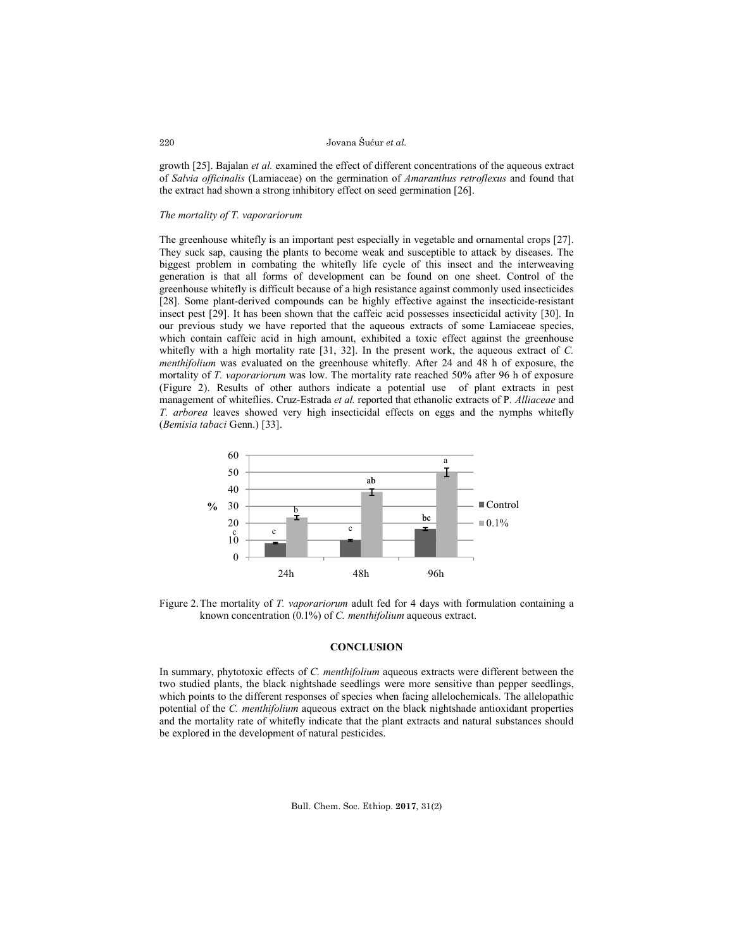growth [25]. Bajalan *et al.* examined the effect of different concentrations of the aqueous extract of *Salvia officinalis* (Lamiaceae) on the germination of *Amaranthus retroflexus* and found that the extract had shown a strong inhibitory effect on seed germination [26].

# *The mortality of T. vaporariorum*

The greenhouse whitefly is an important pest especially in vegetable and ornamental crops [27]. They suck sap, causing the plants to become weak and susceptible to attack by diseases. The biggest problem in combating the whitefly life cycle of this insect and the interweaving generation is that all forms of development can be found on one sheet. Control of the greenhouse whitefly is difficult because of a high resistance against commonly used insecticides [28]. Some plant-derived compounds can be highly effective against the insecticide-resistant insect pest [29]. It has been shown that the caffeic acid possesses insecticidal activity [30]. In our previous study we have reported that the aqueous extracts of some Lamiaceae species, which contain caffeic acid in high amount, exhibited a toxic effect against the greenhouse whitefly with a high mortality rate [31, 32]. In the present work, the aqueous extract of *C. menthifolium* was evaluated on the greenhouse whitefly. After 24 and 48 h of exposure, the mortality of *T. vaporariorum* was low. The mortality rate reached 50% after 96 h of exposure (Figure 2). Results of other authors indicate a potential use of plant extracts in pest management of whiteflies. Cruz-Estrada *et al.* reported that ethanolic extracts of P*. Alliaceae* and *T. arborea* leaves showed very high insecticidal effects on eggs and the nymphs whitefly (*Bemisia tabaci* Genn.) [33].



Figure 2.The mortality of *T. vaporariorum* adult fed for 4 days with formulation containing a known concentration (0.1%) of *C. menthifolium* aqueous extract.

# **CONCLUSION**

In summary, phytotoxic effects of *C. menthifolium* aqueous extracts were different between the two studied plants, the black nightshade seedlings were more sensitive than pepper seedlings, which points to the different responses of species when facing allelochemicals. The allelopathic potential of the *C. menthifolium* aqueous extract on the black nightshade antioxidant properties and the mortality rate of whitefly indicate that the plant extracts and natural substances should be explored in the development of natural pesticides.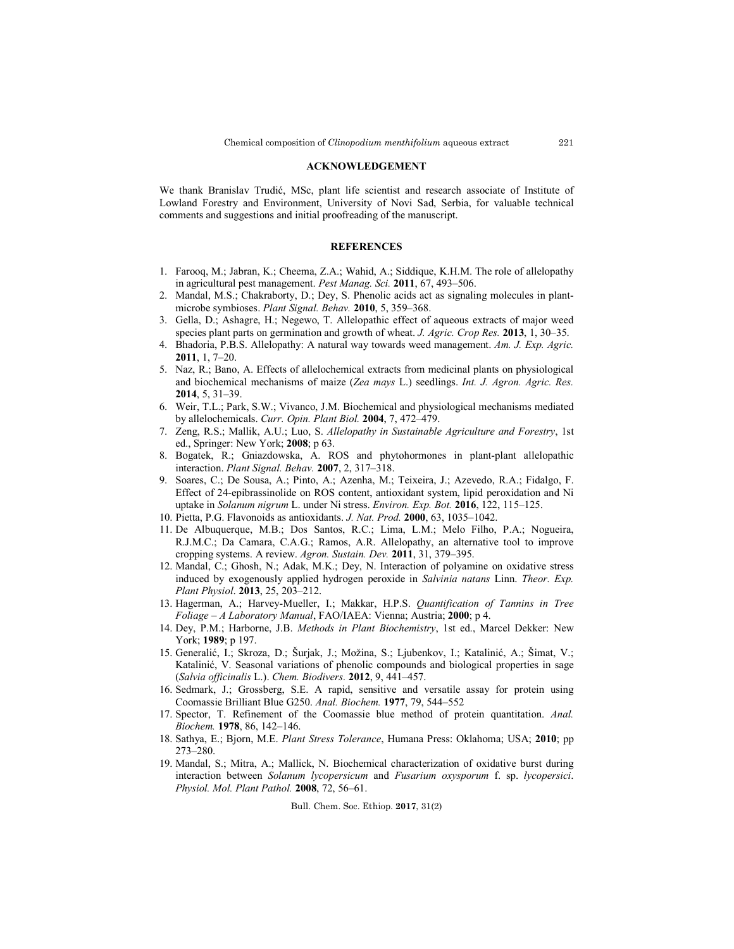#### **ACKNOWLEDGEMENT**

We thank Branislav Trudić, MSc, plant life scientist and research associate of Institute of Lowland Forestry and Environment, University of Novi Sad, Serbia, for valuable technical comments and suggestions and initial proofreading of the manuscript.

## **REFERENCES**

- 1. Farooq, M.; Jabran, K.; Cheema, Z.A.; Wahid, A.; Siddique, K.H.M. The role of allelopathy in agricultural pest management. *Pest Manag. Sci.* **2011**, 67, 493–506.
- 2. Mandal, M.S.; Chakraborty, D.; Dey, S. Phenolic acids act as signaling molecules in plantmicrobe symbioses. *Plant Signal. Behav.* **2010**, 5, 359–368.
- 3. Gella, D.; Ashagre, H.; Negewo, T. Allelopathic effect of aqueous extracts of major weed species plant parts on germination and growth of wheat. *J. Agric. Crop Res.* **2013**, 1, 30–35.
- 4. Bhadoria, P.B.S. Allelopathy: A natural way towards weed management. *Am. J. Exp. Agric.* **2011**, 1, 7–20.
- 5. Naz, R.; Bano, A. Effects of allelochemical extracts from medicinal plants on physiological and biochemical mechanisms of maize (*Zea mays* L.) seedlings. *Int. J. Agron. Agric. Res.* **2014**, 5, 31–39.
- 6. Weir, T.L.; Park, S.W.; Vivanco, J.M. Biochemical and physiological mechanisms mediated by allelochemicals. *Curr. Opin. Plant Biol.* **2004**, 7, 472–479.
- 7. Zeng, R.S.; Mallik, A.U.; Luo, S. *Allelopathy in Sustainable Agriculture and Forestry*, 1st ed., Springer: New York; **2008**; p 63.
- 8. Bogatek, R.; Gniazdowska, A. ROS and phytohormones in plant-plant allelopathic interaction. *Plant Signal. Behav.* **2007**, 2, 317–318.
- 9. Soares, C.; De Sousa, A.; Pinto, A.; Azenha, M.; Teixeira, J.; Azevedo, R.A.; Fidalgo, F. Effect of 24-epibrassinolide on ROS content, antioxidant system, lipid peroxidation and Ni uptake in *Solanum nigrum* L. under Ni stress. *Environ. Exp. Bot.* **2016**, 122, 115–125.
- 10. Pietta, P.G. Flavonoids as antioxidants. *J. Nat. Prod.* **2000**, 63, 1035–1042.
- 11. De Albuquerque, M.B.; Dos Santos, R.C.; Lima, L.M.; Melo Filho, P.A.; Nogueira, R.J.M.C.; Da Camara, C.A.G.; Ramos, A.R. Allelopathy, an alternative tool to improve cropping systems. A review. *Agron. Sustain. Dev.* **2011**, 31, 379–395.
- 12. Mandal, C.; Ghosh, N.; Adak, M.K.; Dey, N. Interaction of polyamine on oxidative stress induced by exogenously applied hydrogen peroxide in *Salvinia natans* Linn. *Theor. Exp. Plant Physiol*. **2013**, 25, 203–212.
- 13. Hagerman, A.; Harvey-Mueller, I.; Makkar, H.P.S. *Quantification of Tannins in Tree Foliage – A Laboratory Manual*, FAO/IAEA: Vienna; Austria; **2000**; p 4.
- 14. Dey, P.M.; Harborne, J.B. *Methods in Plant Biochemistry*, 1st ed., Marcel Dekker: New York; **1989**; p 197.
- 15. Generalić, I.; Skroza, D.; Šurjak, J.; Možina, S.; Ljubenkov, I.; Katalinić, A.; Šimat, V.; Katalinić, V. Seasonal variations of phenolic compounds and biological properties in sage (*Salvia officinalis* L.). *Chem. Biodivers.* **2012**, 9, 441–457.
- 16. Sedmark, J.; Grossberg, S.E. A rapid, sensitive and versatile assay for protein using Coomassie Brilliant Blue G250. *Anal. Biochem.* **1977**, 79, 544–552
- 17. Spector, T. Refinement of the Coomassie blue method of protein quantitation. *Anal. Biochem.* **1978**, 86, 142–146.
- 18. Sathya, E.; Bjorn, M.E. *Plant Stress Tolerance*, Humana Press: Oklahoma; USA; **2010**; pp 273–280.
- 19. Mandal, S.; Mitra, A.; Mallick, N. Biochemical characterization of oxidative burst during interaction between *Solanum lycopersicum* and *Fusarium oxysporum* f. sp. *lycopersici*. *Physiol. Mol. Plant Pathol.* **2008**, 72, 56–61.